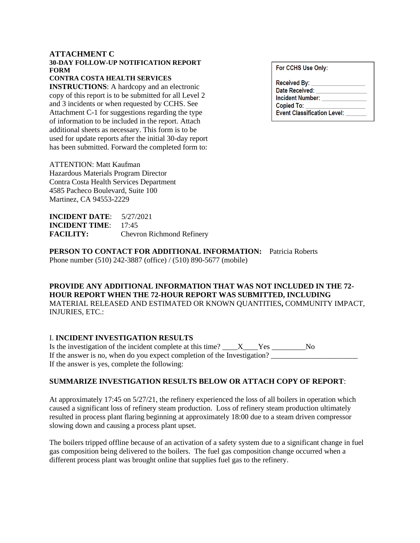### **ATTACHMENT C**

### **30-DAY FOLLOW-UP NOTIFICATION REPORT FORM**

### **CONTRA COSTA HEALTH SERVICES**

**INSTRUCTIONS**: A hardcopy and an electronic copy of this report is to be submitted for all Level 2 and 3 incidents or when requested by CCHS. See Attachment C-1 for suggestions regarding the type of information to be included in the report. Attach additional sheets as necessary. This form is to be used for update reports after the initial 30-day report has been submitted. Forward the completed form to:

ATTENTION: Matt Kaufman Hazardous Materials Program Director Contra Costa Health Services Department 4585 Pacheco Boulevard, Suite 100 Martinez, CA 94553-2229

**INCIDENT DATE**: 5/27/2021 **INCIDENT TIME**: 17:45 **FACILITY:** Chevron Richmond Refinery

**PERSON TO CONTACT FOR ADDITIONAL INFORMATION:** Patricia Roberts Phone number (510) 242-3887 (office) / (510) 890-5677 (mobile)

### **PROVIDE ANY ADDITIONAL INFORMATION THAT WAS NOT INCLUDED IN THE 72- HOUR REPORT WHEN THE 72-HOUR REPORT WAS SUBMITTED, INCLUDING**  MATERIAL RELEASED AND ESTIMATED OR KNOWN QUANTITIES**,** COMMUNITY IMPACT, INJURIES, ETC.:

### I. **INCIDENT INVESTIGATION RESULTS**

Is the investigation of the incident complete at this time?  $\_\_\_X\_\_\_Y$ es  $\_\_\_\_N$ If the answer is no, when do you expect completion of the Investigation? If the answer is yes, complete the following:

### **SUMMARIZE INVESTIGATION RESULTS BELOW OR ATTACH COPY OF REPORT**:

At approximately 17:45 on 5/27/21, the refinery experienced the loss of all boilers in operation which caused a significant loss of refinery steam production. Loss of refinery steam production ultimately resulted in process plant flaring beginning at approximately 18:00 due to a steam driven compressor slowing down and causing a process plant upset.

The boilers tripped offline because of an activation of a safety system due to a significant change in fuel gas composition being delivered to the boilers. The fuel gas composition change occurred when a different process plant was brought online that supplies fuel gas to the refinery.

| For CCHS Use Only: |  |  |
|--------------------|--|--|
|                    |  |  |

**Received By:** Date Received: **Incident Number: Copied To: Event Classification Level:**